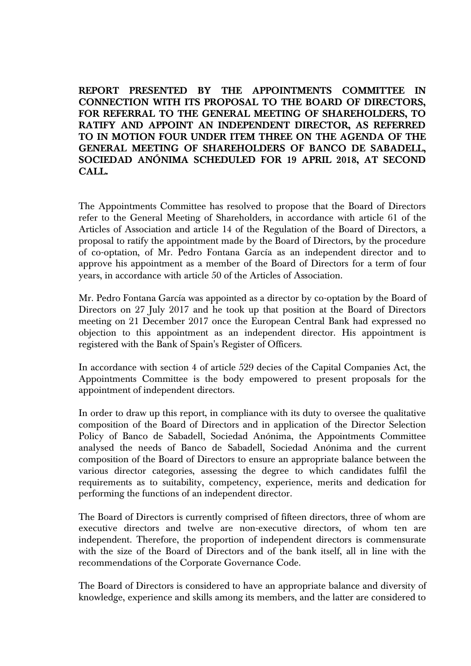**REPORT PRESENTED BY THE APPOINTMENTS COMMITTEE IN CONNECTION WITH ITS PROPOSAL TO THE BOARD OF DIRECTORS, FOR REFERRAL TO THE GENERAL MEETING OF SHAREHOLDERS, TO RATIFY AND APPOINT AN INDEPENDENT DIRECTOR, AS REFERRED TO IN MOTION FOUR UNDER ITEM THREE ON THE AGENDA OF THE GENERAL MEETING OF SHAREHOLDERS OF BANCO DE SABADELL, SOCIEDAD ANÓNIMA SCHEDULED FOR 19 APRIL 2018, AT SECOND CALL.** 

The Appointments Committee has resolved to propose that the Board of Directors refer to the General Meeting of Shareholders, in accordance with article 61 of the Articles of Association and article 14 of the Regulation of the Board of Directors, a proposal to ratify the appointment made by the Board of Directors, by the procedure of co-optation, of Mr. Pedro Fontana García as an independent director and to approve his appointment as a member of the Board of Directors for a term of four years, in accordance with article 50 of the Articles of Association.

Mr. Pedro Fontana García was appointed as a director by co-optation by the Board of Directors on 27 July 2017 and he took up that position at the Board of Directors meeting on 21 December 2017 once the European Central Bank had expressed no objection to this appointment as an independent director. His appointment is registered with the Bank of Spain's Register of Officers.

In accordance with section 4 of article 529 decies of the Capital Companies Act, the Appointments Committee is the body empowered to present proposals for the appointment of independent directors.

In order to draw up this report, in compliance with its duty to oversee the qualitative composition of the Board of Directors and in application of the Director Selection Policy of Banco de Sabadell, Sociedad Anónima, the Appointments Committee analysed the needs of Banco de Sabadell, Sociedad Anónima and the current composition of the Board of Directors to ensure an appropriate balance between the various director categories, assessing the degree to which candidates fulfil the requirements as to suitability, competency, experience, merits and dedication for performing the functions of an independent director.

The Board of Directors is currently comprised of fifteen directors, three of whom are executive directors and twelve are non-executive directors, of whom ten are independent. Therefore, the proportion of independent directors is commensurate with the size of the Board of Directors and of the bank itself, all in line with the recommendations of the Corporate Governance Code.

The Board of Directors is considered to have an appropriate balance and diversity of knowledge, experience and skills among its members, and the latter are considered to